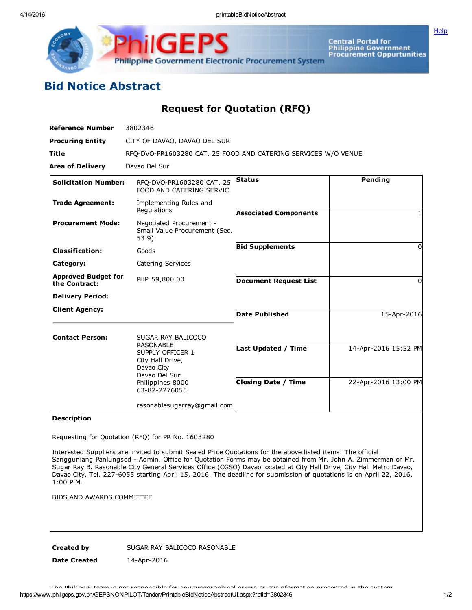Central Portal for<br>Philippine Government<br>Procurement Oppurtunities **Philippine Government Electronic Procurement System** 

**[Help](javascript:void(window.open()** 

## Bid Notice Abstract

GE

Request for Quotation (RFQ)

| <b>Reference Number</b>                     | 3802346                                                                                                                      |                              |                      |
|---------------------------------------------|------------------------------------------------------------------------------------------------------------------------------|------------------------------|----------------------|
| <b>Procuring Entity</b>                     | CITY OF DAVAO, DAVAO DEL SUR                                                                                                 |                              |                      |
| <b>Title</b>                                | RFQ-DVO-PR1603280 CAT. 25 FOOD AND CATERING SERVICES W/O VENUE                                                               |                              |                      |
| <b>Area of Delivery</b>                     | Davao Del Sur                                                                                                                |                              |                      |
| <b>Solicitation Number:</b>                 | RFQ-DVO-PR1603280 CAT. 25<br>FOOD AND CATERING SERVIC                                                                        | <b>Status</b>                | Pending              |
| <b>Trade Agreement:</b>                     | Implementing Rules and<br>Regulations                                                                                        | <b>Associated Components</b> |                      |
| <b>Procurement Mode:</b>                    | Negotiated Procurement -<br>Small Value Procurement (Sec.<br>53.9)                                                           |                              |                      |
| <b>Classification:</b>                      | Goods                                                                                                                        | <b>Bid Supplements</b>       | 0                    |
| Category:                                   | Catering Services                                                                                                            |                              |                      |
| <b>Approved Budget for</b><br>the Contract: | PHP 59,800.00                                                                                                                | <b>Document Request List</b> | <sup>0</sup>         |
| <b>Delivery Period:</b>                     |                                                                                                                              |                              |                      |
| <b>Client Agency:</b>                       |                                                                                                                              | <b>Date Published</b>        | 15-Apr-2016          |
| <b>Contact Person:</b>                      | SUGAR RAY BALICOCO                                                                                                           |                              |                      |
|                                             | <b>RASONABLE</b><br>SUPPLY OFFICER 1<br>City Hall Drive,<br>Davao City<br>Davao Del Sur<br>Philippines 8000<br>63-82-2276055 | Last Updated / Time          | 14-Apr-2016 15:52 PM |
|                                             |                                                                                                                              | <b>Closing Date / Time</b>   | 22-Apr-2016 13:00 PM |
|                                             | rasonablesugarray@gmail.com                                                                                                  |                              |                      |

## Description

Requesting for Quotation (RFQ) for PR No. 1603280

Interested Suppliers are invited to submit Sealed Price Quotations for the above listed items. The official Sangguniang Panlungsod Admin. Office for Quotation Forms may be obtained from Mr. John A. Zimmerman or Mr. Sugar Ray B. Rasonable City General Services Office (CGSO) Davao located at City Hall Drive, City Hall Metro Davao, Davao City, Tel. 227-6055 starting April 15, 2016. The deadline for submission of quotations is on April 22, 2016, 1:00 P.M.

BIDS AND AWARDS COMMITTEE

Created by SUGAR RAY BALICOCO RASONABLE

Date Created 14-Apr-2016